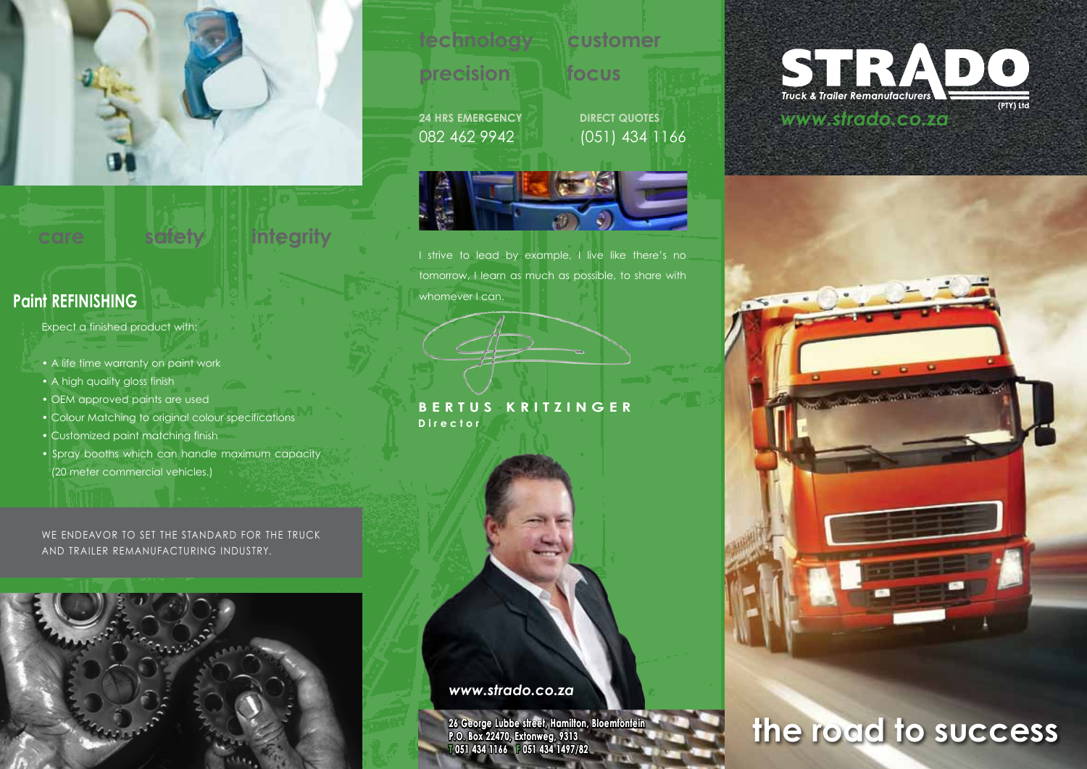

# **care safety integrity**

# **Paint REFINISHING**

### Expect a finished product with:

- A life time warranty on paint work
- A high quality gloss finish
- OEM approved paints are used
- Colour Matching to original colour specifications
- Customized paint matching finish
- Spray booths which can handle maximum capacity (20 meter commercial vehicles.)

### WE ENDEAVOR TO SET THE STANDARD FOR THE TRUCK AND TRAILER REMANUFACTURING INDUSTRY.

### **technology customer**

# **precision focus**

**24 HRS EMERGENCY** 082 462 9942

**DIRECT QUOTES** (051) 434 1166



I strive to lead by example, I live like there's no tomorrow, I learn as much as possible, to share with whomever I can.

**BERTUS KRITZINGER Director**

*www.strado.co.za*

**26 George Lubbe street, Hamilton, Bloemfontein P.O. Box 22470, Extonweg, 9313 T 051 434 1166 F 051 434 1497/82 F**

# STRADO *www.strado.co.za*

# No. of Concession, Name of Street, or other

# **the road to success**